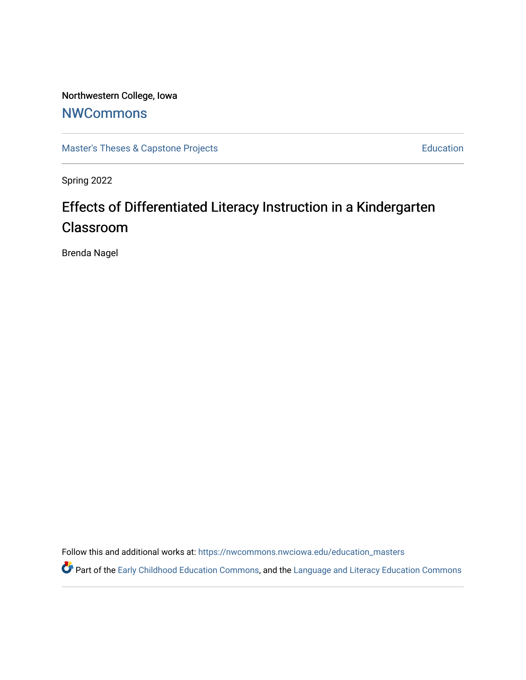# Northwestern College, Iowa

# **[NWCommons](https://nwcommons.nwciowa.edu/)**

[Master's Theses & Capstone Projects](https://nwcommons.nwciowa.edu/education_masters) **Education** Education

Spring 2022

# Effects of Differentiated Literacy Instruction in a Kindergarten Classroom

Brenda Nagel

Follow this and additional works at: [https://nwcommons.nwciowa.edu/education\\_masters](https://nwcommons.nwciowa.edu/education_masters?utm_source=nwcommons.nwciowa.edu%2Feducation_masters%2F399&utm_medium=PDF&utm_campaign=PDFCoverPages)

Part of the [Early Childhood Education Commons,](https://network.bepress.com/hgg/discipline/1377?utm_source=nwcommons.nwciowa.edu%2Feducation_masters%2F399&utm_medium=PDF&utm_campaign=PDFCoverPages) and the Language and Literacy Education Commons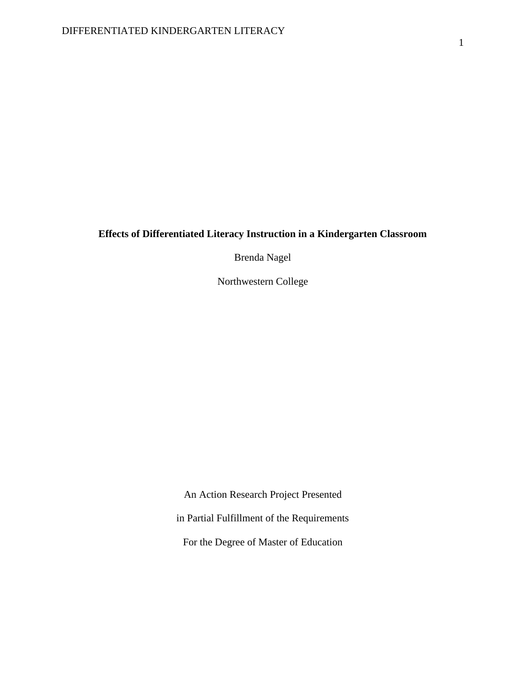### **Effects of Differentiated Literacy Instruction in a Kindergarten Classroom**

Brenda Nagel

Northwestern College

An Action Research Project Presented in Partial Fulfillment of the Requirements For the Degree of Master of Education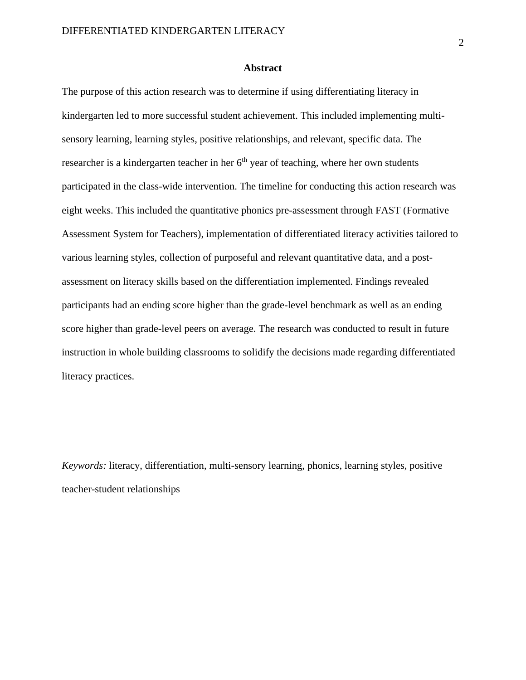#### **Abstract**

The purpose of this action research was to determine if using differentiating literacy in kindergarten led to more successful student achievement. This included implementing multisensory learning, learning styles, positive relationships, and relevant, specific data. The researcher is a kindergarten teacher in her  $6<sup>th</sup>$  year of teaching, where her own students participated in the class-wide intervention. The timeline for conducting this action research was eight weeks. This included the quantitative phonics pre-assessment through FAST (Formative Assessment System for Teachers), implementation of differentiated literacy activities tailored to various learning styles, collection of purposeful and relevant quantitative data, and a postassessment on literacy skills based on the differentiation implemented. Findings revealed participants had an ending score higher than the grade-level benchmark as well as an ending score higher than grade-level peers on average. The research was conducted to result in future instruction in whole building classrooms to solidify the decisions made regarding differentiated literacy practices.

*Keywords:* literacy, differentiation, multi-sensory learning, phonics, learning styles, positive teacher-student relationships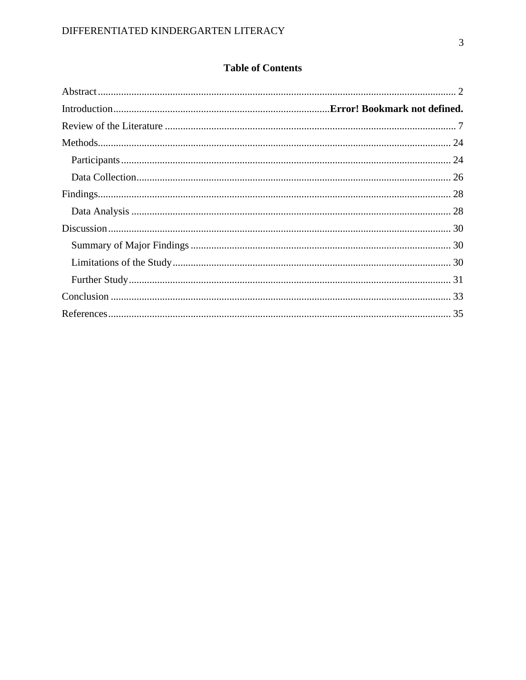## **Table of Contents**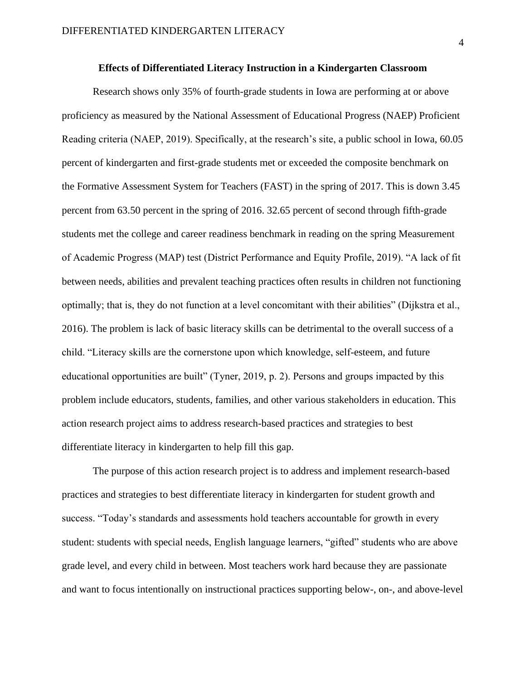#### **Effects of Differentiated Literacy Instruction in a Kindergarten Classroom**

Research shows only 35% of fourth-grade students in Iowa are performing at or above proficiency as measured by the National Assessment of Educational Progress (NAEP) Proficient Reading criteria (NAEP, 2019). Specifically, at the research's site, a public school in Iowa, 60.05 percent of kindergarten and first-grade students met or exceeded the composite benchmark on the Formative Assessment System for Teachers (FAST) in the spring of 2017. This is down 3.45 percent from 63.50 percent in the spring of 2016. 32.65 percent of second through fifth-grade students met the college and career readiness benchmark in reading on the spring Measurement of Academic Progress (MAP) test (District Performance and Equity Profile, 2019). "A lack of fit between needs, abilities and prevalent teaching practices often results in children not functioning optimally; that is, they do not function at a level concomitant with their abilities" (Dijkstra et al., 2016). The problem is lack of basic literacy skills can be detrimental to the overall success of a child. "Literacy skills are the cornerstone upon which knowledge, self-esteem, and future educational opportunities are built" (Tyner, 2019, p. 2). Persons and groups impacted by this problem include educators, students, families, and other various stakeholders in education. This action research project aims to address research-based practices and strategies to best differentiate literacy in kindergarten to help fill this gap.

The purpose of this action research project is to address and implement research-based practices and strategies to best differentiate literacy in kindergarten for student growth and success. "Today's standards and assessments hold teachers accountable for growth in every student: students with special needs, English language learners, "gifted" students who are above grade level, and every child in between. Most teachers work hard because they are passionate and want to focus intentionally on instructional practices supporting below-, on-, and above-level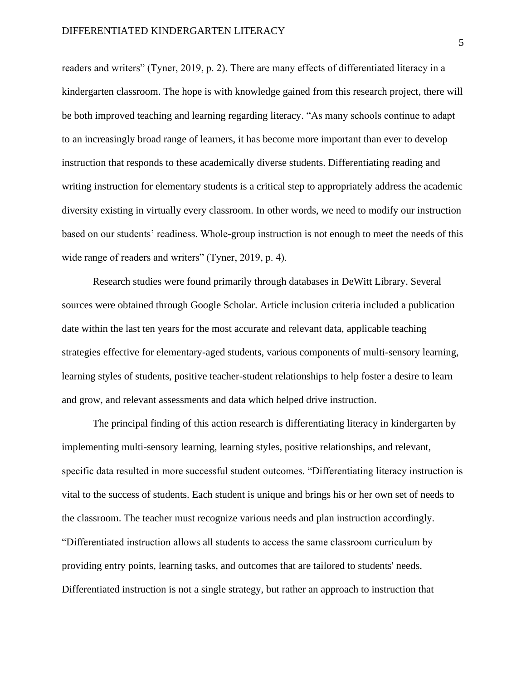readers and writers" (Tyner, 2019, p. 2). There are many effects of differentiated literacy in a kindergarten classroom. The hope is with knowledge gained from this research project, there will be both improved teaching and learning regarding literacy. "As many schools continue to adapt to an increasingly broad range of learners, it has become more important than ever to develop instruction that responds to these academically diverse students. Differentiating reading and writing instruction for elementary students is a critical step to appropriately address the academic diversity existing in virtually every classroom. In other words, we need to modify our instruction based on our students' readiness. Whole-group instruction is not enough to meet the needs of this wide range of readers and writers" (Tyner, 2019, p. 4).

Research studies were found primarily through databases in DeWitt Library. Several sources were obtained through Google Scholar. Article inclusion criteria included a publication date within the last ten years for the most accurate and relevant data, applicable teaching strategies effective for elementary-aged students, various components of multi-sensory learning, learning styles of students, positive teacher-student relationships to help foster a desire to learn and grow, and relevant assessments and data which helped drive instruction.

The principal finding of this action research is differentiating literacy in kindergarten by implementing multi-sensory learning, learning styles, positive relationships, and relevant, specific data resulted in more successful student outcomes. "Differentiating literacy instruction is vital to the success of students. Each student is unique and brings his or her own set of needs to the classroom. The teacher must recognize various needs and plan instruction accordingly. "Differentiated instruction allows all students to access the same classroom curriculum by providing entry points, learning tasks, and outcomes that are tailored to students' needs. Differentiated instruction is not a single strategy, but rather an approach to instruction that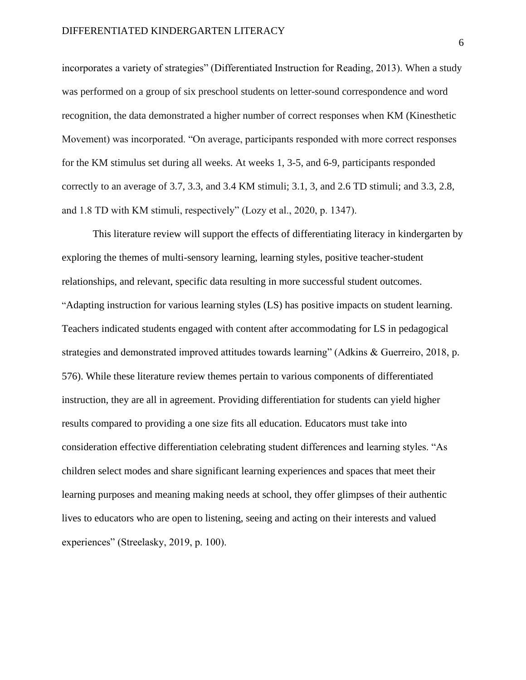incorporates a variety of strategies" (Differentiated Instruction for Reading, 2013). When a study was performed on a group of six preschool students on letter-sound correspondence and word recognition, the data demonstrated a higher number of correct responses when KM (Kinesthetic Movement) was incorporated. "On average, participants responded with more correct responses for the KM stimulus set during all weeks. At weeks 1, 3-5, and 6-9, participants responded correctly to an average of 3.7, 3.3, and 3.4 KM stimuli; 3.1, 3, and 2.6 TD stimuli; and 3.3, 2.8, and 1.8 TD with KM stimuli, respectively" (Lozy et al., 2020, p. 1347).

This literature review will support the effects of differentiating literacy in kindergarten by exploring the themes of multi-sensory learning, learning styles, positive teacher-student relationships, and relevant, specific data resulting in more successful student outcomes. "Adapting instruction for various learning styles (LS) has positive impacts on student learning. Teachers indicated students engaged with content after accommodating for LS in pedagogical strategies and demonstrated improved attitudes towards learning" (Adkins & Guerreiro, 2018, p. 576). While these literature review themes pertain to various components of differentiated instruction, they are all in agreement. Providing differentiation for students can yield higher results compared to providing a one size fits all education. Educators must take into consideration effective differentiation celebrating student differences and learning styles. "As children select modes and share significant learning experiences and spaces that meet their learning purposes and meaning making needs at school, they offer glimpses of their authentic lives to educators who are open to listening, seeing and acting on their interests and valued experiences" (Streelasky, 2019, p. 100).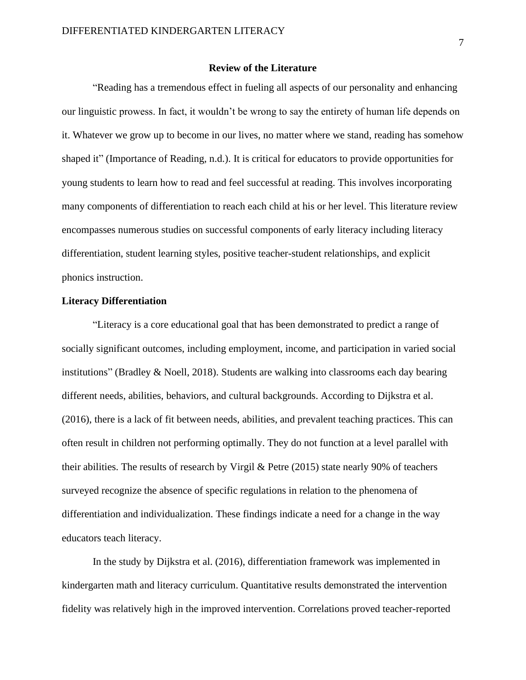#### **Review of the Literature**

"Reading has a tremendous effect in fueling all aspects of our personality and enhancing our linguistic prowess. In fact, it wouldn't be wrong to say the entirety of human life depends on it. Whatever we grow up to become in our lives, no matter where we stand, reading has somehow shaped it" (Importance of Reading, n.d.). It is critical for educators to provide opportunities for young students to learn how to read and feel successful at reading. This involves incorporating many components of differentiation to reach each child at his or her level. This literature review encompasses numerous studies on successful components of early literacy including literacy differentiation, student learning styles, positive teacher-student relationships, and explicit phonics instruction.

#### **Literacy Differentiation**

"Literacy is a core educational goal that has been demonstrated to predict a range of socially significant outcomes, including employment, income, and participation in varied social institutions" (Bradley & Noell, 2018). Students are walking into classrooms each day bearing different needs, abilities, behaviors, and cultural backgrounds. According to Dijkstra et al. (2016), there is a lack of fit between needs, abilities, and prevalent teaching practices. This can often result in children not performing optimally. They do not function at a level parallel with their abilities. The results of research by Virgil & Petre (2015) state nearly 90% of teachers surveyed recognize the absence of specific regulations in relation to the phenomena of differentiation and individualization. These findings indicate a need for a change in the way educators teach literacy.

In the study by Dijkstra et al. (2016), differentiation framework was implemented in kindergarten math and literacy curriculum. Quantitative results demonstrated the intervention fidelity was relatively high in the improved intervention. Correlations proved teacher-reported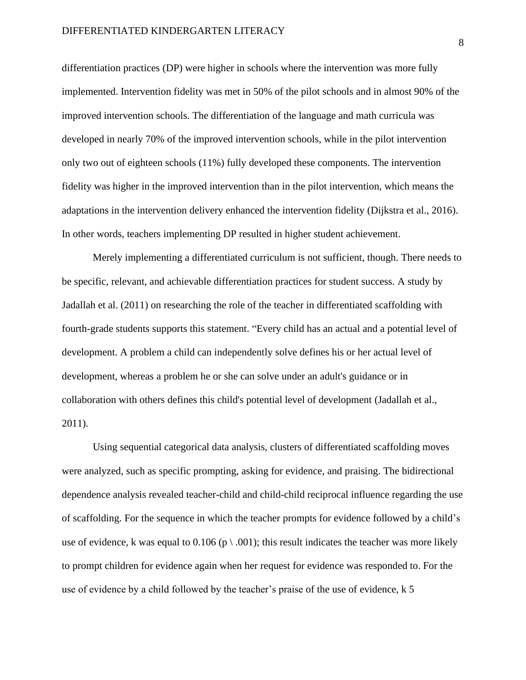differentiation practices (DP) were higher in schools where the intervention was more fully implemented. Intervention fidelity was met in 50% of the pilot schools and in almost 90% of the improved intervention schools. The differentiation of the language and math curricula was developed in nearly 70% of the improved intervention schools, while in the pilot intervention only two out of eighteen schools (11%) fully developed these components. The intervention fidelity was higher in the improved intervention than in the pilot intervention, which means the adaptations in the intervention delivery enhanced the intervention fidelity (Dijkstra et al., 2016). In other words, teachers implementing DP resulted in higher student achievement.

Merely implementing a differentiated curriculum is not sufficient, though. There needs to be specific, relevant, and achievable differentiation practices for student success. A study by Jadallah et al. (2011) on researching the role of the teacher in differentiated scaffolding with fourth-grade students supports this statement. "Every child has an actual and a potential level of development. A problem a child can independently solve defines his or her actual level of development, whereas a problem he or she can solve under an adult's guidance or in collaboration with others defines this child's potential level of development (Jadallah et al., 2011).

Using sequential categorical data analysis, clusters of differentiated scaffolding moves were analyzed, such as specific prompting, asking for evidence, and praising. The bidirectional dependence analysis revealed teacher-child and child-child reciprocal influence regarding the use of scaffolding. For the sequence in which the teacher prompts for evidence followed by a child's use of evidence, k was equal to 0.106 ( $p \setminus .001$ ); this result indicates the teacher was more likely to prompt children for evidence again when her request for evidence was responded to. For the use of evidence by a child followed by the teacher's praise of the use of evidence, k 5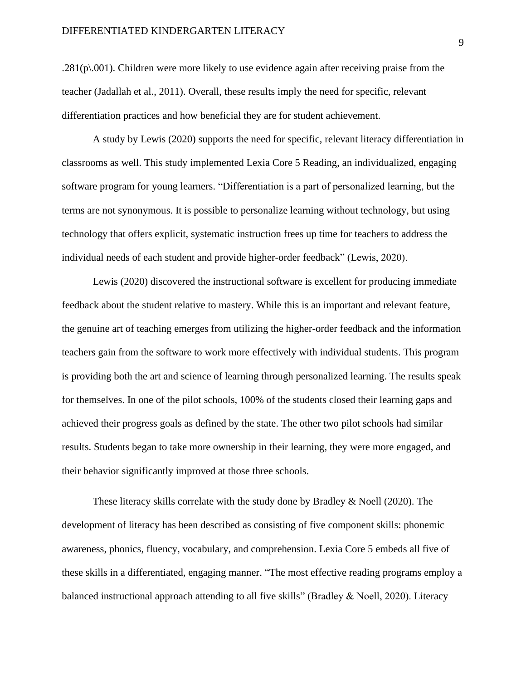$.281(p\ldots001)$ . Children were more likely to use evidence again after receiving praise from the teacher (Jadallah et al., 2011). Overall, these results imply the need for specific, relevant differentiation practices and how beneficial they are for student achievement.

A study by Lewis (2020) supports the need for specific, relevant literacy differentiation in classrooms as well. This study implemented Lexia Core 5 Reading, an individualized, engaging software program for young learners. "Differentiation is a part of personalized learning, but the terms are not synonymous. It is possible to personalize learning without technology, but using technology that offers explicit, systematic instruction frees up time for teachers to address the individual needs of each student and provide higher-order feedback" (Lewis, 2020).

Lewis (2020) discovered the instructional software is excellent for producing immediate feedback about the student relative to mastery. While this is an important and relevant feature, the genuine art of teaching emerges from utilizing the higher-order feedback and the information teachers gain from the software to work more effectively with individual students. This program is providing both the art and science of learning through personalized learning. The results speak for themselves. In one of the pilot schools, 100% of the students closed their learning gaps and achieved their progress goals as defined by the state. The other two pilot schools had similar results. Students began to take more ownership in their learning, they were more engaged, and their behavior significantly improved at those three schools.

These literacy skills correlate with the study done by Bradley & Noell (2020). The development of literacy has been described as consisting of five component skills: phonemic awareness, phonics, fluency, vocabulary, and comprehension. Lexia Core 5 embeds all five of these skills in a differentiated, engaging manner. "The most effective reading programs employ a balanced instructional approach attending to all five skills" (Bradley & Noell, 2020). Literacy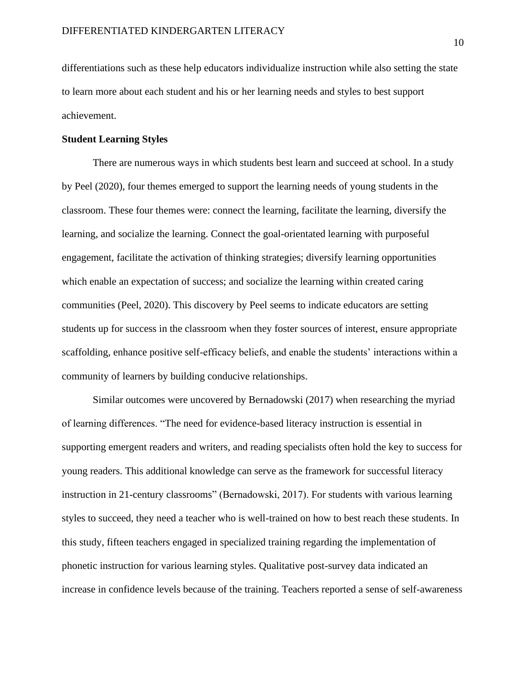differentiations such as these help educators individualize instruction while also setting the state to learn more about each student and his or her learning needs and styles to best support achievement.

#### **Student Learning Styles**

There are numerous ways in which students best learn and succeed at school. In a study by Peel (2020), four themes emerged to support the learning needs of young students in the classroom. These four themes were: connect the learning, facilitate the learning, diversify the learning, and socialize the learning. Connect the goal-orientated learning with purposeful engagement, facilitate the activation of thinking strategies; diversify learning opportunities which enable an expectation of success; and socialize the learning within created caring communities (Peel, 2020). This discovery by Peel seems to indicate educators are setting students up for success in the classroom when they foster sources of interest, ensure appropriate scaffolding, enhance positive self-efficacy beliefs, and enable the students' interactions within a community of learners by building conducive relationships.

Similar outcomes were uncovered by Bernadowski (2017) when researching the myriad of learning differences. "The need for evidence-based literacy instruction is essential in supporting emergent readers and writers, and reading specialists often hold the key to success for young readers. This additional knowledge can serve as the framework for successful literacy instruction in 21-century classrooms" (Bernadowski, 2017). For students with various learning styles to succeed, they need a teacher who is well-trained on how to best reach these students. In this study, fifteen teachers engaged in specialized training regarding the implementation of phonetic instruction for various learning styles. Qualitative post-survey data indicated an increase in confidence levels because of the training. Teachers reported a sense of self-awareness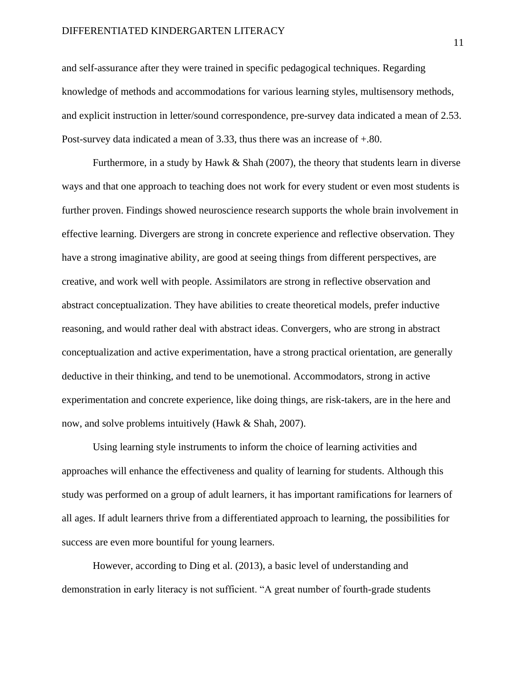#### DIFFERENTIATED KINDERGARTEN LITERACY

and self-assurance after they were trained in specific pedagogical techniques. Regarding knowledge of methods and accommodations for various learning styles, multisensory methods, and explicit instruction in letter/sound correspondence, pre-survey data indicated a mean of 2.53. Post-survey data indicated a mean of 3.33, thus there was an increase of +.80.

Furthermore, in a study by Hawk & Shah (2007), the theory that students learn in diverse ways and that one approach to teaching does not work for every student or even most students is further proven. Findings showed neuroscience research supports the whole brain involvement in effective learning. Divergers are strong in concrete experience and reflective observation. They have a strong imaginative ability, are good at seeing things from different perspectives, are creative, and work well with people. Assimilators are strong in reflective observation and abstract conceptualization. They have abilities to create theoretical models, prefer inductive reasoning, and would rather deal with abstract ideas. Convergers, who are strong in abstract conceptualization and active experimentation, have a strong practical orientation, are generally deductive in their thinking, and tend to be unemotional. Accommodators, strong in active experimentation and concrete experience, like doing things, are risk-takers, are in the here and now, and solve problems intuitively (Hawk & Shah, 2007).

Using learning style instruments to inform the choice of learning activities and approaches will enhance the effectiveness and quality of learning for students. Although this study was performed on a group of adult learners, it has important ramifications for learners of all ages. If adult learners thrive from a differentiated approach to learning, the possibilities for success are even more bountiful for young learners.

However, according to Ding et al. (2013), a basic level of understanding and demonstration in early literacy is not sufficient. "A great number of fourth-grade students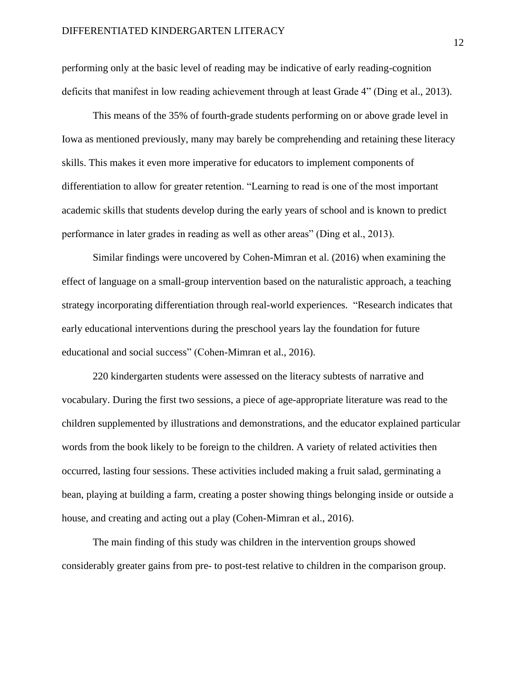performing only at the basic level of reading may be indicative of early reading-cognition deficits that manifest in low reading achievement through at least Grade 4" (Ding et al., 2013).

This means of the 35% of fourth-grade students performing on or above grade level in Iowa as mentioned previously, many may barely be comprehending and retaining these literacy skills. This makes it even more imperative for educators to implement components of differentiation to allow for greater retention. "Learning to read is one of the most important academic skills that students develop during the early years of school and is known to predict performance in later grades in reading as well as other areas" (Ding et al., 2013).

Similar findings were uncovered by Cohen-Mimran et al. (2016) when examining the effect of language on a small-group intervention based on the naturalistic approach, a teaching strategy incorporating differentiation through real-world experiences. "Research indicates that early educational interventions during the preschool years lay the foundation for future educational and social success" (Cohen-Mimran et al., 2016).

220 kindergarten students were assessed on the literacy subtests of narrative and vocabulary. During the first two sessions, a piece of age-appropriate literature was read to the children supplemented by illustrations and demonstrations, and the educator explained particular words from the book likely to be foreign to the children. A variety of related activities then occurred, lasting four sessions. These activities included making a fruit salad, germinating a bean, playing at building a farm, creating a poster showing things belonging inside or outside a house, and creating and acting out a play (Cohen-Mimran et al., 2016).

The main finding of this study was children in the intervention groups showed considerably greater gains from pre- to post-test relative to children in the comparison group.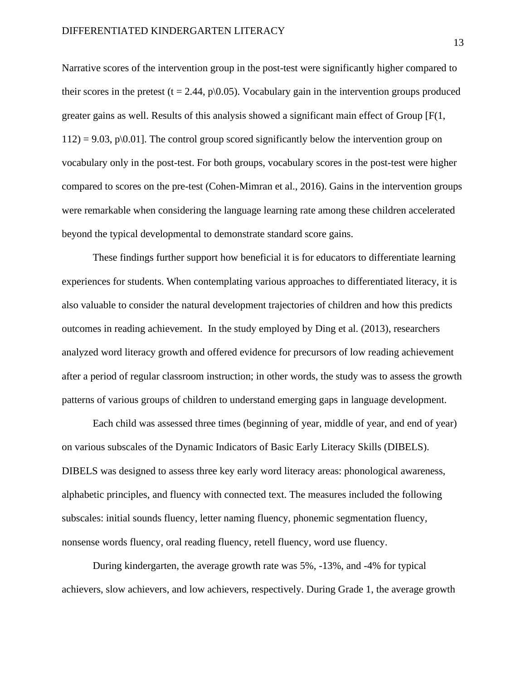Narrative scores of the intervention group in the post-test were significantly higher compared to their scores in the pretest (t = 2.44, p $(0.05)$ . Vocabulary gain in the intervention groups produced greater gains as well. Results of this analysis showed a significant main effect of Group [F(1,  $112$ ) = 9.03, p\0.01]. The control group scored significantly below the intervention group on vocabulary only in the post-test. For both groups, vocabulary scores in the post-test were higher compared to scores on the pre-test (Cohen-Mimran et al., 2016). Gains in the intervention groups were remarkable when considering the language learning rate among these children accelerated beyond the typical developmental to demonstrate standard score gains.

These findings further support how beneficial it is for educators to differentiate learning experiences for students. When contemplating various approaches to differentiated literacy, it is also valuable to consider the natural development trajectories of children and how this predicts outcomes in reading achievement. In the study employed by Ding et al. (2013), researchers analyzed word literacy growth and offered evidence for precursors of low reading achievement after a period of regular classroom instruction; in other words, the study was to assess the growth patterns of various groups of children to understand emerging gaps in language development.

Each child was assessed three times (beginning of year, middle of year, and end of year) on various subscales of the Dynamic Indicators of Basic Early Literacy Skills (DIBELS). DIBELS was designed to assess three key early word literacy areas: phonological awareness, alphabetic principles, and fluency with connected text. The measures included the following subscales: initial sounds fluency, letter naming fluency, phonemic segmentation fluency, nonsense words fluency, oral reading fluency, retell fluency, word use fluency.

During kindergarten, the average growth rate was 5%, -13%, and -4% for typical achievers, slow achievers, and low achievers, respectively. During Grade 1, the average growth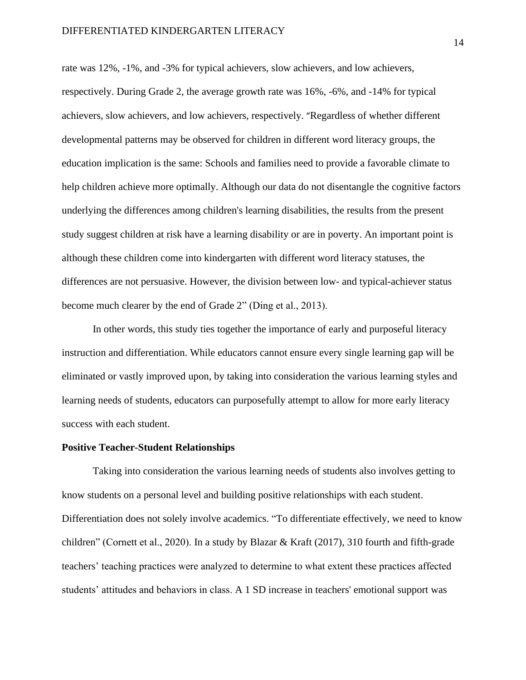rate was 12%, -1%, and -3% for typical achievers, slow achievers, and low achievers, respectively. During Grade 2, the average growth rate was 16%, -6%, and -14% for typical achievers, slow achievers, and low achievers, respectively. "Regardless of whether different developmental patterns may be observed for children in different word literacy groups, the education implication is the same: Schools and families need to provide a favorable climate to help children achieve more optimally. Although our data do not disentangle the cognitive factors underlying the differences among children's learning disabilities, the results from the present study suggest children at risk have a learning disability or are in poverty. An important point is although these children come into kindergarten with different word literacy statuses, the differences are not persuasive. However, the division between low- and typical-achiever status become much clearer by the end of Grade 2" (Ding et al., 2013).

In other words, this study ties together the importance of early and purposeful literacy instruction and differentiation. While educators cannot ensure every single learning gap will be eliminated or vastly improved upon, by taking into consideration the various learning styles and learning needs of students, educators can purposefully attempt to allow for more early literacy success with each student.

#### **Positive Teacher-Student Relationships**

Taking into consideration the various learning needs of students also involves getting to know students on a personal level and building positive relationships with each student. Differentiation does not solely involve academics. "To differentiate effectively, we need to know children" (Cornett et al., 2020). In a study by Blazar & Kraft (2017), 310 fourth and fifth-grade teachers' teaching practices were analyzed to determine to what extent these practices affected students' attitudes and behaviors in class. A 1 SD increase in teachers' emotional support was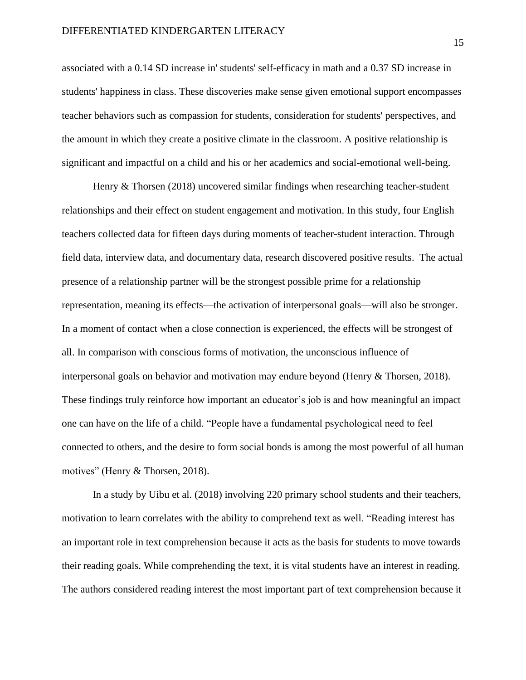associated with a 0.14 SD increase in' students' self-efficacy in math and a 0.37 SD increase in students' happiness in class. These discoveries make sense given emotional support encompasses teacher behaviors such as compassion for students, consideration for students' perspectives, and the amount in which they create a positive climate in the classroom. A positive relationship is significant and impactful on a child and his or her academics and social-emotional well-being.

Henry & Thorsen (2018) uncovered similar findings when researching teacher-student relationships and their effect on student engagement and motivation. In this study, four English teachers collected data for fifteen days during moments of teacher-student interaction. Through field data, interview data, and documentary data, research discovered positive results. The actual presence of a relationship partner will be the strongest possible prime for a relationship representation, meaning its effects—the activation of interpersonal goals—will also be stronger. In a moment of contact when a close connection is experienced, the effects will be strongest of all. In comparison with conscious forms of motivation, the unconscious influence of interpersonal goals on behavior and motivation may endure beyond (Henry & Thorsen, 2018). These findings truly reinforce how important an educator's job is and how meaningful an impact one can have on the life of a child. "People have a fundamental psychological need to feel connected to others, and the desire to form social bonds is among the most powerful of all human motives" (Henry & Thorsen, 2018).

In a study by Uibu et al. (2018) involving 220 primary school students and their teachers, motivation to learn correlates with the ability to comprehend text as well. "Reading interest has an important role in text comprehension because it acts as the basis for students to move towards their reading goals. While comprehending the text, it is vital students have an interest in reading. The authors considered reading interest the most important part of text comprehension because it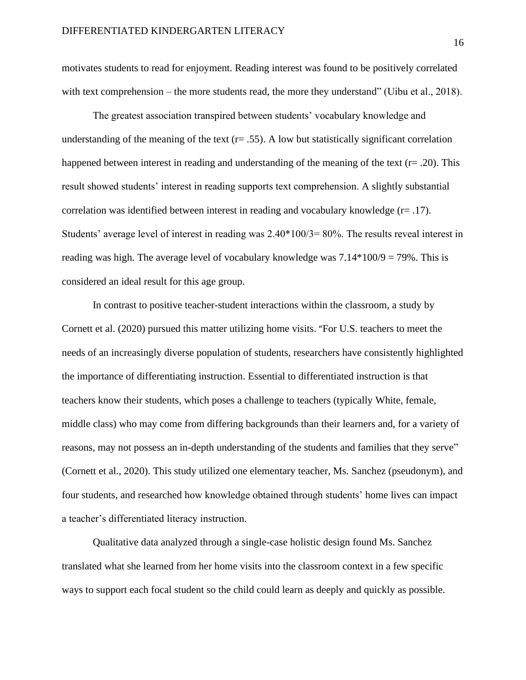motivates students to read for enjoyment. Reading interest was found to be positively correlated with text comprehension – the more students read, the more they understand" (Uibu et al., 2018).

The greatest association transpired between students' vocabulary knowledge and understanding of the meaning of the text  $(r= .55)$ . A low but statistically significant correlation happened between interest in reading and understanding of the meaning of the text (r= .20). This result showed students' interest in reading supports text comprehension. A slightly substantial correlation was identified between interest in reading and vocabulary knowledge  $(r= .17)$ . Students' average level of interest in reading was 2.40\*100/3= 80%. The results reveal interest in reading was high. The average level of vocabulary knowledge was  $7.14*100/9 = 79%$ . This is considered an ideal result for this age group.

In contrast to positive teacher-student interactions within the classroom, a study by Cornett et al. (2020) pursued this matter utilizing home visits. "For U.S. teachers to meet the needs of an increasingly diverse population of students, researchers have consistently highlighted the importance of differentiating instruction. Essential to differentiated instruction is that teachers know their students, which poses a challenge to teachers (typically White, female, middle class) who may come from differing backgrounds than their learners and, for a variety of reasons, may not possess an in-depth understanding of the students and families that they serve" (Cornett et al., 2020). This study utilized one elementary teacher, Ms. Sanchez (pseudonym), and four students, and researched how knowledge obtained through students' home lives can impact a teacher's differentiated literacy instruction.

Qualitative data analyzed through a single-case holistic design found Ms. Sanchez translated what she learned from her home visits into the classroom context in a few specific ways to support each focal student so the child could learn as deeply and quickly as possible.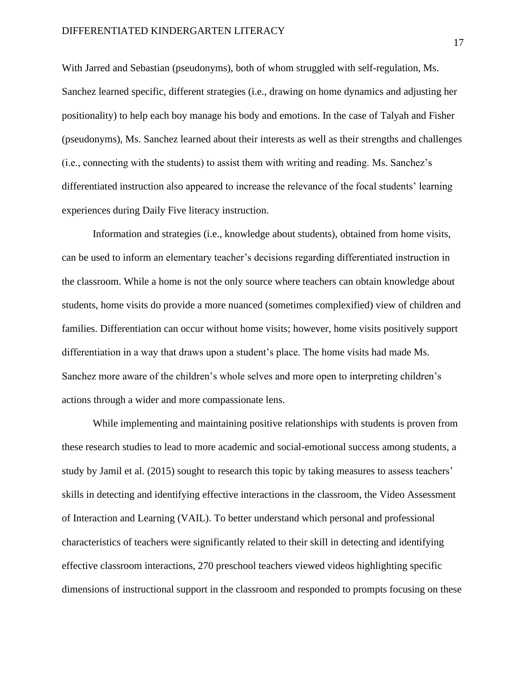With Jarred and Sebastian (pseudonyms), both of whom struggled with self-regulation, Ms. Sanchez learned specific, different strategies (i.e., drawing on home dynamics and adjusting her positionality) to help each boy manage his body and emotions. In the case of Talyah and Fisher (pseudonyms), Ms. Sanchez learned about their interests as well as their strengths and challenges (i.e., connecting with the students) to assist them with writing and reading. Ms. Sanchez's differentiated instruction also appeared to increase the relevance of the focal students' learning experiences during Daily Five literacy instruction.

Information and strategies (i.e., knowledge about students), obtained from home visits, can be used to inform an elementary teacher's decisions regarding differentiated instruction in the classroom. While a home is not the only source where teachers can obtain knowledge about students, home visits do provide a more nuanced (sometimes complexified) view of children and families. Differentiation can occur without home visits; however, home visits positively support differentiation in a way that draws upon a student's place. The home visits had made Ms. Sanchez more aware of the children's whole selves and more open to interpreting children's actions through a wider and more compassionate lens.

While implementing and maintaining positive relationships with students is proven from these research studies to lead to more academic and social-emotional success among students, a study by Jamil et al. (2015) sought to research this topic by taking measures to assess teachers' skills in detecting and identifying effective interactions in the classroom, the Video Assessment of Interaction and Learning (VAIL). To better understand which personal and professional characteristics of teachers were significantly related to their skill in detecting and identifying effective classroom interactions, 270 preschool teachers viewed videos highlighting specific dimensions of instructional support in the classroom and responded to prompts focusing on these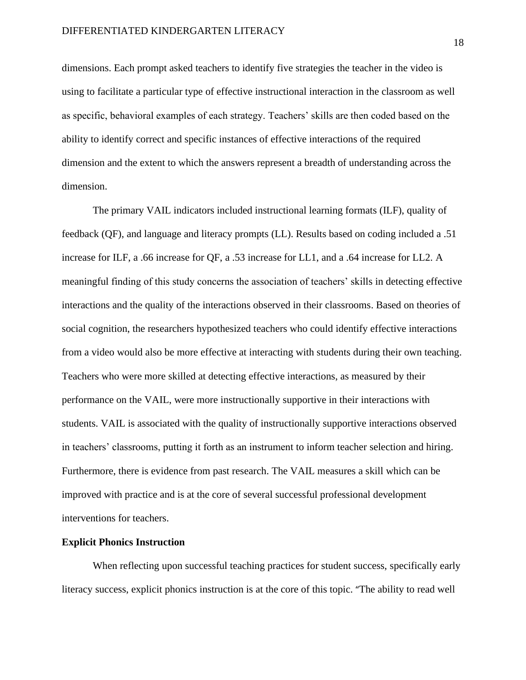dimensions. Each prompt asked teachers to identify five strategies the teacher in the video is using to facilitate a particular type of effective instructional interaction in the classroom as well as specific, behavioral examples of each strategy. Teachers' skills are then coded based on the ability to identify correct and specific instances of effective interactions of the required dimension and the extent to which the answers represent a breadth of understanding across the dimension.

The primary VAIL indicators included instructional learning formats (ILF), quality of feedback (QF), and language and literacy prompts (LL). Results based on coding included a .51 increase for ILF, a .66 increase for QF, a .53 increase for LL1, and a .64 increase for LL2. A meaningful finding of this study concerns the association of teachers' skills in detecting effective interactions and the quality of the interactions observed in their classrooms. Based on theories of social cognition, the researchers hypothesized teachers who could identify effective interactions from a video would also be more effective at interacting with students during their own teaching. Teachers who were more skilled at detecting effective interactions, as measured by their performance on the VAIL, were more instructionally supportive in their interactions with students. VAIL is associated with the quality of instructionally supportive interactions observed in teachers' classrooms, putting it forth as an instrument to inform teacher selection and hiring. Furthermore, there is evidence from past research. The VAIL measures a skill which can be improved with practice and is at the core of several successful professional development interventions for teachers.

#### **Explicit Phonics Instruction**

When reflecting upon successful teaching practices for student success, specifically early literacy success, explicit phonics instruction is at the core of this topic. "The ability to read well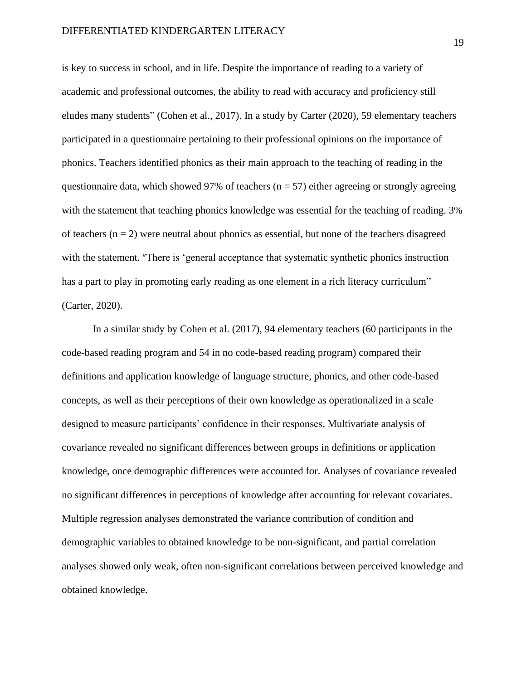is key to success in school, and in life. Despite the importance of reading to a variety of academic and professional outcomes, the ability to read with accuracy and proficiency still eludes many students" (Cohen et al., 2017). In a study by Carter (2020), 59 elementary teachers participated in a questionnaire pertaining to their professional opinions on the importance of phonics. Teachers identified phonics as their main approach to the teaching of reading in the questionnaire data, which showed 97% of teachers ( $n = 57$ ) either agreeing or strongly agreeing with the statement that teaching phonics knowledge was essential for the teaching of reading. 3% of teachers  $(n = 2)$  were neutral about phonics as essential, but none of the teachers disagreed with the statement. "There is 'general acceptance that systematic synthetic phonics instruction has a part to play in promoting early reading as one element in a rich literacy curriculum" (Carter, 2020).

In a similar study by Cohen et al. (2017), 94 elementary teachers (60 participants in the code-based reading program and 54 in no code-based reading program) compared their definitions and application knowledge of language structure, phonics, and other code-based concepts, as well as their perceptions of their own knowledge as operationalized in a scale designed to measure participants' confidence in their responses. Multivariate analysis of covariance revealed no significant differences between groups in definitions or application knowledge, once demographic differences were accounted for. Analyses of covariance revealed no significant differences in perceptions of knowledge after accounting for relevant covariates. Multiple regression analyses demonstrated the variance contribution of condition and demographic variables to obtained knowledge to be non-significant, and partial correlation analyses showed only weak, often non-significant correlations between perceived knowledge and obtained knowledge.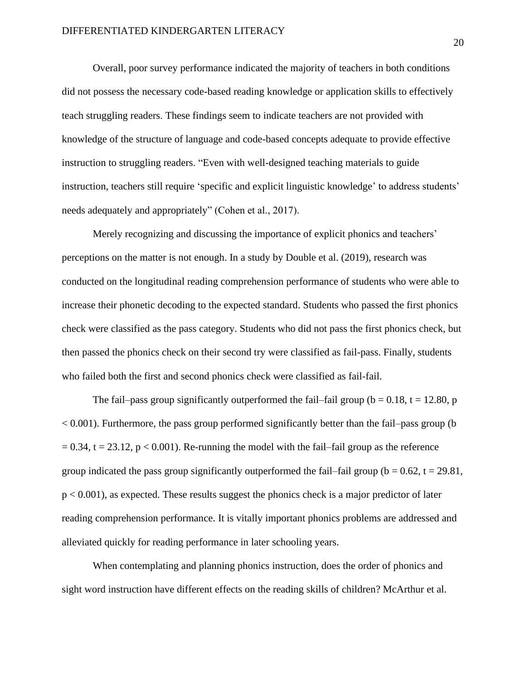Overall, poor survey performance indicated the majority of teachers in both conditions did not possess the necessary code-based reading knowledge or application skills to effectively teach struggling readers. These findings seem to indicate teachers are not provided with knowledge of the structure of language and code-based concepts adequate to provide effective instruction to struggling readers. "Even with well-designed teaching materials to guide instruction, teachers still require 'specific and explicit linguistic knowledge' to address students' needs adequately and appropriately" (Cohen et al., 2017).

Merely recognizing and discussing the importance of explicit phonics and teachers' perceptions on the matter is not enough. In a study by Double et al. (2019), research was conducted on the longitudinal reading comprehension performance of students who were able to increase their phonetic decoding to the expected standard. Students who passed the first phonics check were classified as the pass category. Students who did not pass the first phonics check, but then passed the phonics check on their second try were classified as fail-pass. Finally, students who failed both the first and second phonics check were classified as fail-fail.

The fail–pass group significantly outperformed the fail–fail group ( $b = 0.18$ ,  $t = 12.80$ , p  $< 0.001$ ). Furthermore, the pass group performed significantly better than the fail–pass group (b)  $= 0.34$ , t = 23.12, p < 0.001). Re-running the model with the fail–fail group as the reference group indicated the pass group significantly outperformed the fail–fail group ( $b = 0.62$ ,  $t = 29.81$ , p < 0.001), as expected. These results suggest the phonics check is a major predictor of later reading comprehension performance. It is vitally important phonics problems are addressed and alleviated quickly for reading performance in later schooling years.

When contemplating and planning phonics instruction, does the order of phonics and sight word instruction have different effects on the reading skills of children? McArthur et al.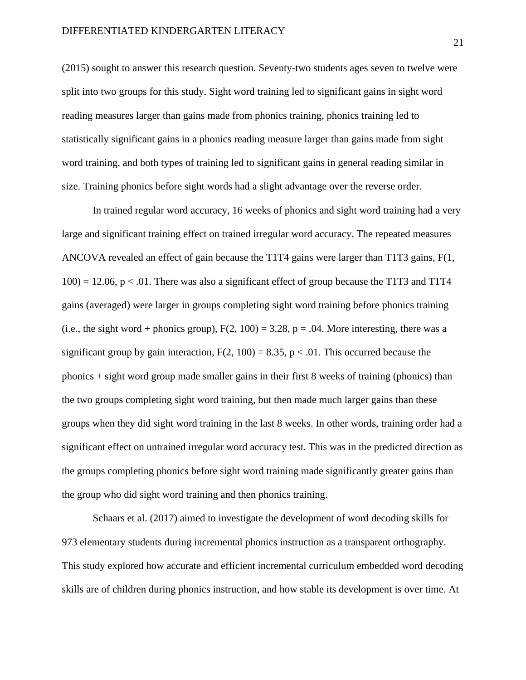(2015) sought to answer this research question. Seventy-two students ages seven to twelve were split into two groups for this study. Sight word training led to significant gains in sight word reading measures larger than gains made from phonics training, phonics training led to statistically significant gains in a phonics reading measure larger than gains made from sight word training, and both types of training led to significant gains in general reading similar in size. Training phonics before sight words had a slight advantage over the reverse order.

In trained regular word accuracy, 16 weeks of phonics and sight word training had a very large and significant training effect on trained irregular word accuracy. The repeated measures ANCOVA revealed an effect of gain because the T1T4 gains were larger than T1T3 gains, F(1,  $100$ ) = 12.06, p < .01. There was also a significant effect of group because the T1T3 and T1T4 gains (averaged) were larger in groups completing sight word training before phonics training (i.e., the sight word + phonics group),  $F(2, 100) = 3.28$ ,  $p = .04$ . More interesting, there was a significant group by gain interaction,  $F(2, 100) = 8.35$ ,  $p < .01$ . This occurred because the phonics + sight word group made smaller gains in their first 8 weeks of training (phonics) than the two groups completing sight word training, but then made much larger gains than these groups when they did sight word training in the last 8 weeks. In other words, training order had a significant effect on untrained irregular word accuracy test. This was in the predicted direction as the groups completing phonics before sight word training made significantly greater gains than the group who did sight word training and then phonics training.

Schaars et al. (2017) aimed to investigate the development of word decoding skills for 973 elementary students during incremental phonics instruction as a transparent orthography. This study explored how accurate and efficient incremental curriculum embedded word decoding skills are of children during phonics instruction, and how stable its development is over time. At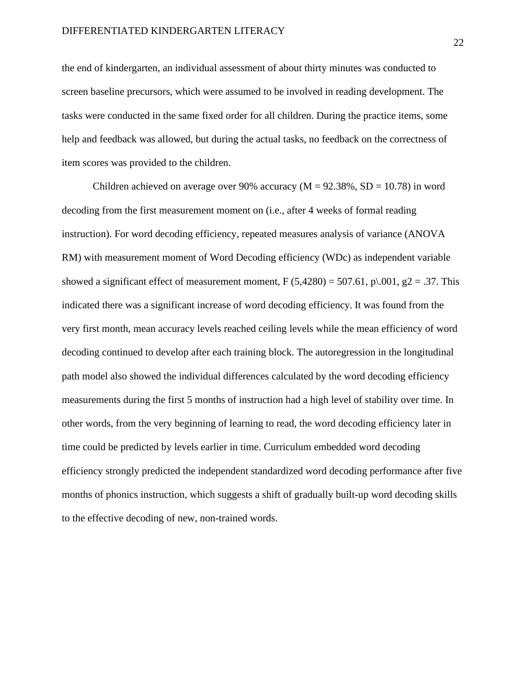the end of kindergarten, an individual assessment of about thirty minutes was conducted to screen baseline precursors, which were assumed to be involved in reading development. The tasks were conducted in the same fixed order for all children. During the practice items, some help and feedback was allowed, but during the actual tasks, no feedback on the correctness of item scores was provided to the children.

Children achieved on average over 90% accuracy ( $M = 92.38\%$ ,  $SD = 10.78$ ) in word decoding from the first measurement moment on (i.e., after 4 weeks of formal reading instruction). For word decoding efficiency, repeated measures analysis of variance (ANOVA RM) with measurement moment of Word Decoding efficiency (WDc) as independent variable showed a significant effect of measurement moment,  $F (5,4280) = 507.61$ ,  $p\setminus 001$ ,  $g2 = .37$ . This indicated there was a significant increase of word decoding efficiency. It was found from the very first month, mean accuracy levels reached ceiling levels while the mean efficiency of word decoding continued to develop after each training block. The autoregression in the longitudinal path model also showed the individual differences calculated by the word decoding efficiency measurements during the first 5 months of instruction had a high level of stability over time. In other words, from the very beginning of learning to read, the word decoding efficiency later in time could be predicted by levels earlier in time. Curriculum embedded word decoding efficiency strongly predicted the independent standardized word decoding performance after five months of phonics instruction, which suggests a shift of gradually built-up word decoding skills to the effective decoding of new, non-trained words.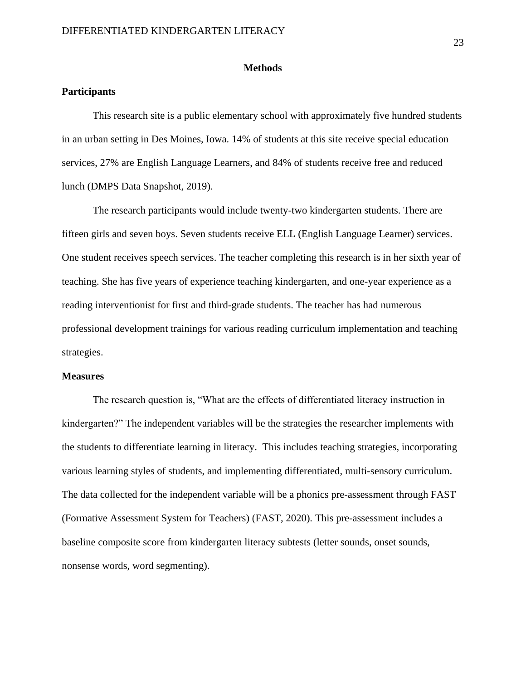#### **Methods**

#### **Participants**

This research site is a public elementary school with approximately five hundred students in an urban setting in Des Moines, Iowa. 14% of students at this site receive special education services, 27% are English Language Learners, and 84% of students receive free and reduced lunch (DMPS Data Snapshot, 2019).

The research participants would include twenty-two kindergarten students. There are fifteen girls and seven boys. Seven students receive ELL (English Language Learner) services. One student receives speech services. The teacher completing this research is in her sixth year of teaching. She has five years of experience teaching kindergarten, and one-year experience as a reading interventionist for first and third-grade students. The teacher has had numerous professional development trainings for various reading curriculum implementation and teaching strategies.

#### **Measures**

The research question is, "What are the effects of differentiated literacy instruction in kindergarten?" The independent variables will be the strategies the researcher implements with the students to differentiate learning in literacy. This includes teaching strategies, incorporating various learning styles of students, and implementing differentiated, multi-sensory curriculum. The data collected for the independent variable will be a phonics pre-assessment through FAST (Formative Assessment System for Teachers) (FAST, 2020). This pre-assessment includes a baseline composite score from kindergarten literacy subtests (letter sounds, onset sounds, nonsense words, word segmenting).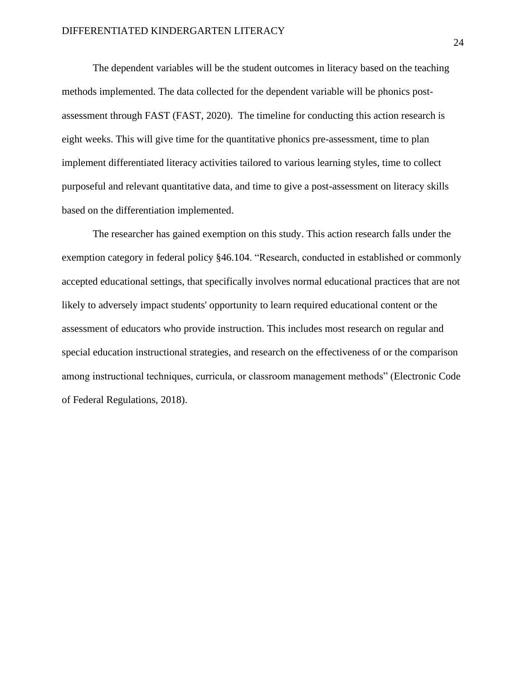The dependent variables will be the student outcomes in literacy based on the teaching methods implemented. The data collected for the dependent variable will be phonics postassessment through FAST (FAST, 2020). The timeline for conducting this action research is eight weeks. This will give time for the quantitative phonics pre-assessment, time to plan implement differentiated literacy activities tailored to various learning styles, time to collect purposeful and relevant quantitative data, and time to give a post-assessment on literacy skills based on the differentiation implemented.

The researcher has gained exemption on this study. This action research falls under the exemption category in federal policy §46.104. "Research, conducted in established or commonly accepted educational settings, that specifically involves normal educational practices that are not likely to adversely impact students' opportunity to learn required educational content or the assessment of educators who provide instruction. This includes most research on regular and special education instructional strategies, and research on the effectiveness of or the comparison among instructional techniques, curricula, or classroom management methods" (Electronic Code of Federal Regulations, 2018).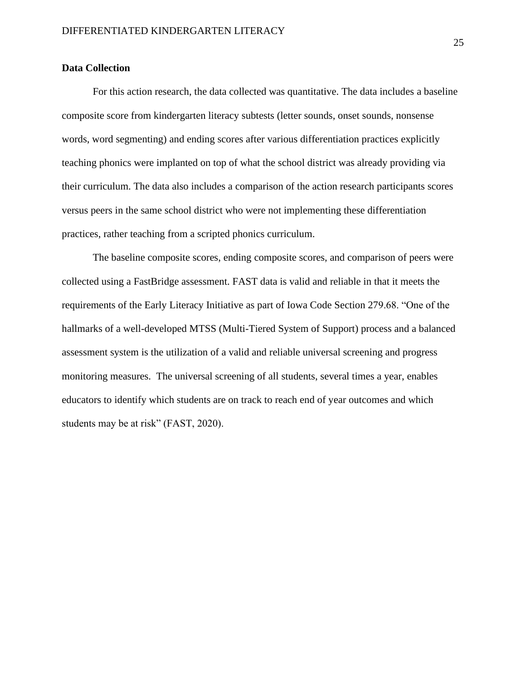#### **Data Collection**

For this action research, the data collected was quantitative. The data includes a baseline composite score from kindergarten literacy subtests (letter sounds, onset sounds, nonsense words, word segmenting) and ending scores after various differentiation practices explicitly teaching phonics were implanted on top of what the school district was already providing via their curriculum. The data also includes a comparison of the action research participants scores versus peers in the same school district who were not implementing these differentiation practices, rather teaching from a scripted phonics curriculum.

The baseline composite scores, ending composite scores, and comparison of peers were collected using a FastBridge assessment. FAST data is valid and reliable in that it meets the requirements of the Early Literacy Initiative as part of Iowa Code Section 279.68. "One of the hallmarks of a well-developed MTSS (Multi-Tiered System of Support) process and a balanced assessment system is the utilization of a valid and reliable universal screening and progress monitoring measures. The universal screening of all students, several times a year, enables educators to identify which students are on track to reach end of year outcomes and which students may be at risk" (FAST, 2020).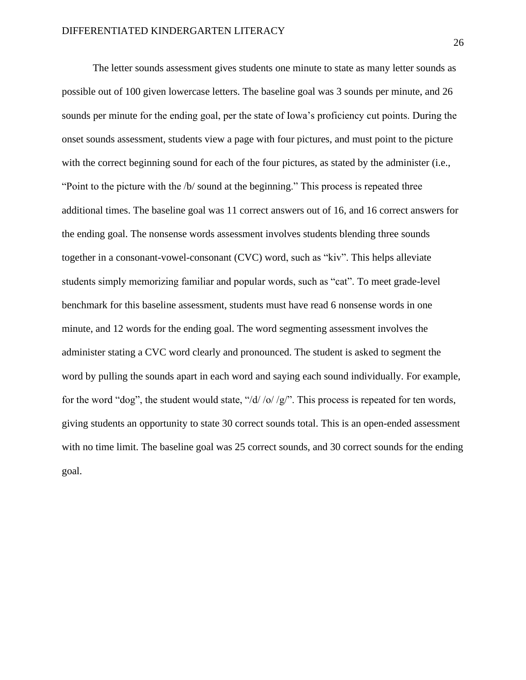The letter sounds assessment gives students one minute to state as many letter sounds as possible out of 100 given lowercase letters. The baseline goal was 3 sounds per minute, and 26 sounds per minute for the ending goal, per the state of Iowa's proficiency cut points. During the onset sounds assessment, students view a page with four pictures, and must point to the picture with the correct beginning sound for each of the four pictures, as stated by the administer (i.e., "Point to the picture with the /b/ sound at the beginning." This process is repeated three additional times. The baseline goal was 11 correct answers out of 16, and 16 correct answers for the ending goal. The nonsense words assessment involves students blending three sounds together in a consonant-vowel-consonant (CVC) word, such as "kiv". This helps alleviate students simply memorizing familiar and popular words, such as "cat". To meet grade-level benchmark for this baseline assessment, students must have read 6 nonsense words in one minute, and 12 words for the ending goal. The word segmenting assessment involves the administer stating a CVC word clearly and pronounced. The student is asked to segment the word by pulling the sounds apart in each word and saying each sound individually. For example, for the word "dog", the student would state, "/d/ /o/ /g/". This process is repeated for ten words, giving students an opportunity to state 30 correct sounds total. This is an open-ended assessment with no time limit. The baseline goal was 25 correct sounds, and 30 correct sounds for the ending goal.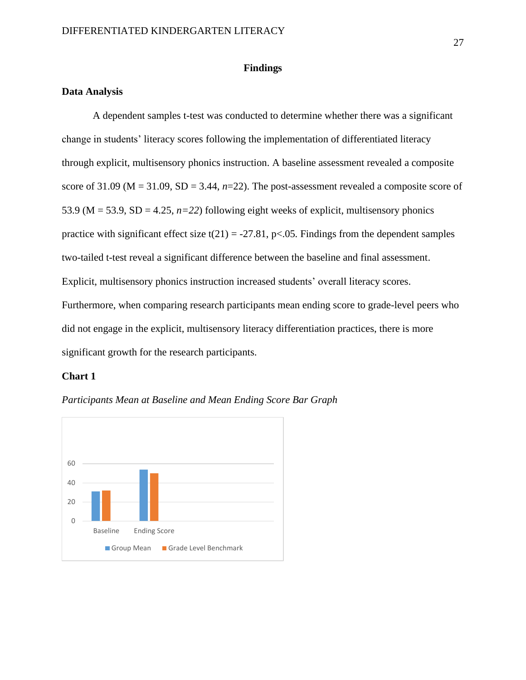#### **Findings**

#### **Data Analysis**

A dependent samples t-test was conducted to determine whether there was a significant change in students' literacy scores following the implementation of differentiated literacy through explicit, multisensory phonics instruction. A baseline assessment revealed a composite score of 31.09 (M = 31.09, SD = 3.44, *n*=22). The post-assessment revealed a composite score of 53.9 ( $M = 53.9$ ,  $SD = 4.25$ ,  $n=22$ ) following eight weeks of explicit, multisensory phonics practice with significant effect size  $t(21) = -27.81$ , p $\lt 0.05$ . Findings from the dependent samples two-tailed t-test reveal a significant difference between the baseline and final assessment. Explicit, multisensory phonics instruction increased students' overall literacy scores. Furthermore, when comparing research participants mean ending score to grade-level peers who did not engage in the explicit, multisensory literacy differentiation practices, there is more significant growth for the research participants.

#### **Chart 1**



*Participants Mean at Baseline and Mean Ending Score Bar Graph*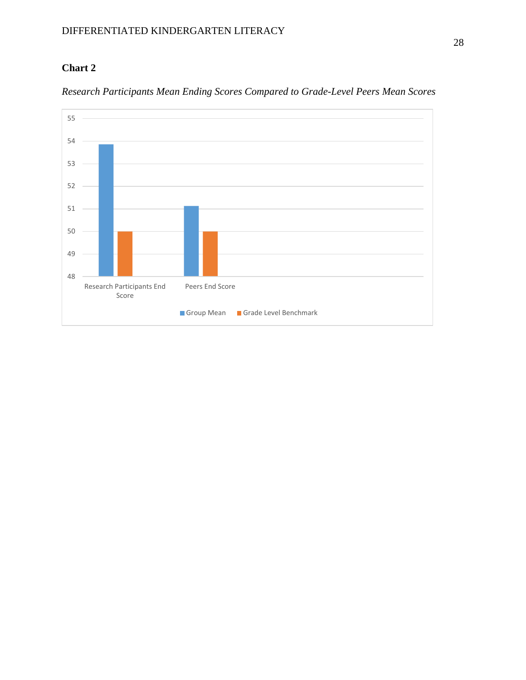## **Chart 2**



*Research Participants Mean Ending Scores Compared to Grade-Level Peers Mean Scores*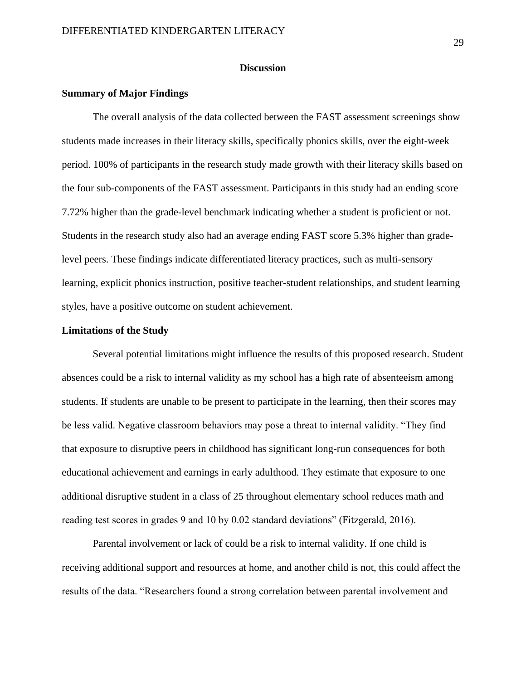#### **Discussion**

#### **Summary of Major Findings**

The overall analysis of the data collected between the FAST assessment screenings show students made increases in their literacy skills, specifically phonics skills, over the eight-week period. 100% of participants in the research study made growth with their literacy skills based on the four sub-components of the FAST assessment. Participants in this study had an ending score 7.72% higher than the grade-level benchmark indicating whether a student is proficient or not. Students in the research study also had an average ending FAST score 5.3% higher than gradelevel peers. These findings indicate differentiated literacy practices, such as multi-sensory learning, explicit phonics instruction, positive teacher-student relationships, and student learning styles, have a positive outcome on student achievement.

#### **Limitations of the Study**

Several potential limitations might influence the results of this proposed research. Student absences could be a risk to internal validity as my school has a high rate of absenteeism among students. If students are unable to be present to participate in the learning, then their scores may be less valid. Negative classroom behaviors may pose a threat to internal validity. "They find that exposure to disruptive peers in childhood has significant long-run consequences for both educational achievement and earnings in early adulthood. They estimate that exposure to one additional disruptive student in a class of 25 throughout elementary school reduces math and reading test scores in grades 9 and 10 by 0.02 standard deviations" (Fitzgerald, 2016).

Parental involvement or lack of could be a risk to internal validity. If one child is receiving additional support and resources at home, and another child is not, this could affect the results of the data. "Researchers found a strong correlation between parental involvement and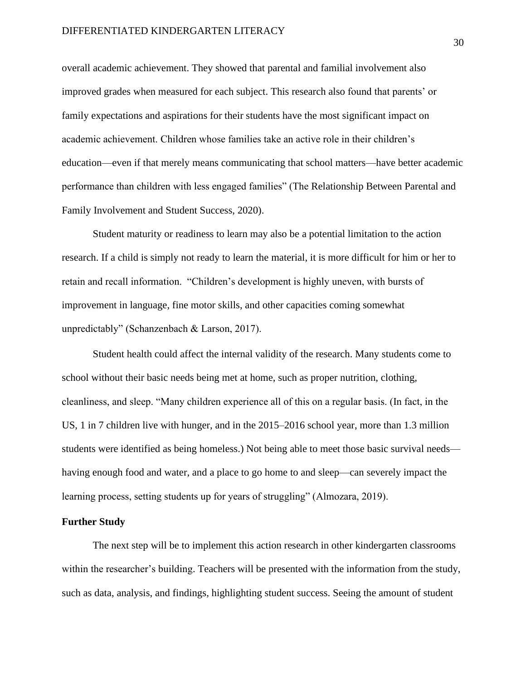overall academic achievement. They showed that parental and familial involvement also improved grades when measured for each subject. This research also found that parents' or family expectations and aspirations for their students have the most significant impact on academic achievement. Children whose families take an active role in their children's education—even if that merely means communicating that school matters—have better academic performance than children with less engaged families" (The Relationship Between Parental and Family Involvement and Student Success, 2020).

Student maturity or readiness to learn may also be a potential limitation to the action research. If a child is simply not ready to learn the material, it is more difficult for him or her to retain and recall information. "Children's development is highly uneven, with bursts of improvement in language, fine motor skills, and other capacities coming somewhat unpredictably" (Schanzenbach & Larson, 2017).

Student health could affect the internal validity of the research. Many students come to school without their basic needs being met at home, such as proper nutrition, clothing, cleanliness, and sleep. "Many children experience all of this on a regular basis. (In fact, in the US, 1 in 7 children live with hunger, and in the 2015–2016 school year, more than 1.3 million students were identified as being homeless.) Not being able to meet those basic survival needs having enough food and water, and a place to go home to and sleep—can severely impact the learning process, setting students up for years of struggling" (Almozara, 2019).

#### **Further Study**

The next step will be to implement this action research in other kindergarten classrooms within the researcher's building. Teachers will be presented with the information from the study, such as data, analysis, and findings, highlighting student success. Seeing the amount of student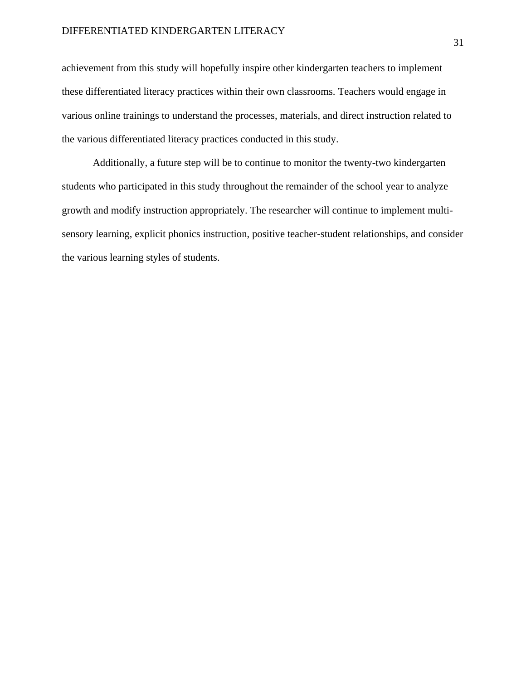achievement from this study will hopefully inspire other kindergarten teachers to implement these differentiated literacy practices within their own classrooms. Teachers would engage in various online trainings to understand the processes, materials, and direct instruction related to the various differentiated literacy practices conducted in this study.

Additionally, a future step will be to continue to monitor the twenty-two kindergarten students who participated in this study throughout the remainder of the school year to analyze growth and modify instruction appropriately. The researcher will continue to implement multisensory learning, explicit phonics instruction, positive teacher-student relationships, and consider the various learning styles of students.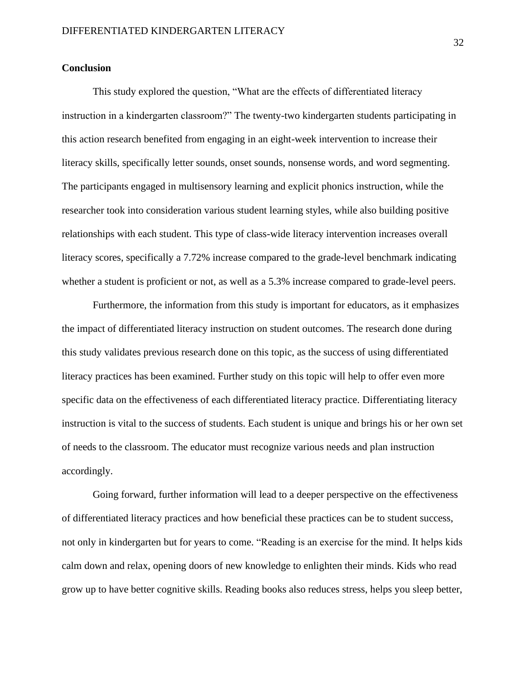#### **Conclusion**

This study explored the question, "What are the effects of differentiated literacy instruction in a kindergarten classroom?" The twenty-two kindergarten students participating in this action research benefited from engaging in an eight-week intervention to increase their literacy skills, specifically letter sounds, onset sounds, nonsense words, and word segmenting. The participants engaged in multisensory learning and explicit phonics instruction, while the researcher took into consideration various student learning styles, while also building positive relationships with each student. This type of class-wide literacy intervention increases overall literacy scores, specifically a 7.72% increase compared to the grade-level benchmark indicating whether a student is proficient or not, as well as a 5.3% increase compared to grade-level peers.

Furthermore, the information from this study is important for educators, as it emphasizes the impact of differentiated literacy instruction on student outcomes. The research done during this study validates previous research done on this topic, as the success of using differentiated literacy practices has been examined. Further study on this topic will help to offer even more specific data on the effectiveness of each differentiated literacy practice. Differentiating literacy instruction is vital to the success of students. Each student is unique and brings his or her own set of needs to the classroom. The educator must recognize various needs and plan instruction accordingly.

Going forward, further information will lead to a deeper perspective on the effectiveness of differentiated literacy practices and how beneficial these practices can be to student success, not only in kindergarten but for years to come. "Reading is an exercise for the mind. It helps kids calm down and relax, opening doors of new knowledge to enlighten their minds. Kids who read grow up to have better cognitive skills. Reading books also reduces stress, helps you sleep better,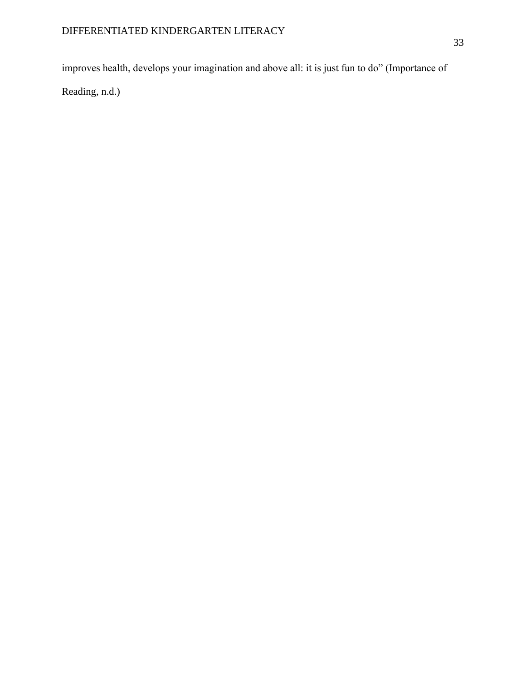improves health, develops your imagination and above all: it is just fun to do" (Importance of

Reading, n.d.)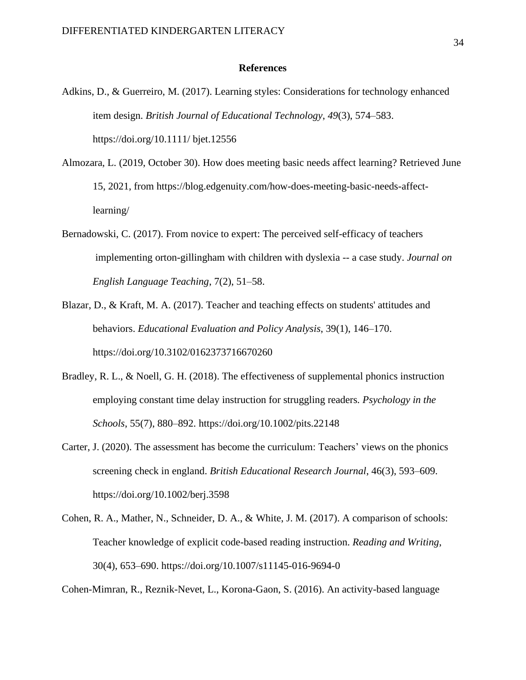#### **References**

- Adkins, D., & Guerreiro, M. (2017). Learning styles: Considerations for technology enhanced item design. *British Journal of Educational Technology*, *49*(3), 574–583. https://doi.org/10.1111/ bjet.12556
- Almozara, L. (2019, October 30). How does meeting basic needs affect learning? Retrieved June 15, 2021, from https://blog.edgenuity.com/how-does-meeting-basic-needs-affectlearning/
- Bernadowski, C. (2017). From novice to expert: The perceived self-efficacy of teachers implementing orton-gillingham with children with dyslexia -- a case study. *Journal on English Language Teaching*, 7(2), 51–58.
- Blazar, D., & Kraft, M. A. (2017). Teacher and teaching effects on students' attitudes and behaviors. *Educational Evaluation and Policy Analysis*, 39(1), 146–170. https://doi.org/10.3102/0162373716670260
- Bradley, R. L., & Noell, G. H. (2018). The effectiveness of supplemental phonics instruction employing constant time delay instruction for struggling readers*. Psychology in the Schools*, 55(7), 880–892. https://doi.org/10.1002/pits.22148
- Carter, J. (2020). The assessment has become the curriculum: Teachers' views on the phonics screening check in england. *British Educational Research Journal*, 46(3), 593–609. https://doi.org/10.1002/berj.3598
- Cohen, R. A., Mather, N., Schneider, D. A., & White, J. M. (2017). A comparison of schools: Teacher knowledge of explicit code-based reading instruction. *Reading and Writing*, 30(4), 653–690. https://doi.org/10.1007/s11145-016-9694-0

Cohen-Mimran, R., Reznik-Nevet, L., Korona-Gaon, S. (2016). An activity-based language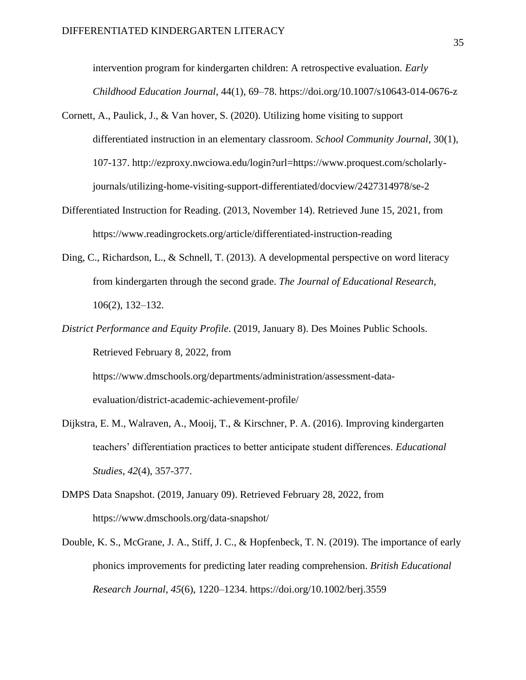intervention program for kindergarten children: A retrospective evaluation. *Early Childhood Education Journal*, 44(1), 69–78. https://doi.org/10.1007/s10643-014-0676-z

- Cornett, A., Paulick, J., & Van hover, S. (2020). Utilizing home visiting to support differentiated instruction in an elementary classroom. *School Community Journal*, 30(1), 107-137. http://ezproxy.nwciowa.edu/login?url=https://www.proquest.com/scholarlyjournals/utilizing-home-visiting-support-differentiated/docview/2427314978/se-2
- Differentiated Instruction for Reading. (2013, November 14). Retrieved June 15, 2021, from https://www.readingrockets.org/article/differentiated-instruction-reading
- Ding, C., Richardson, L., & Schnell, T. (2013). A developmental perspective on word literacy from kindergarten through the second grade. *The Journal of Educational Research*, 106(2), 132–132.
- *District Performance and Equity Profile*. (2019, January 8). Des Moines Public Schools. Retrieved February 8, 2022, from

https://www.dmschools.org/departments/administration/assessment-dataevaluation/district-academic-achievement-profile/

- Dijkstra, E. M., Walraven, A., Mooij, T., & Kirschner, P. A. (2016). Improving kindergarten teachers' differentiation practices to better anticipate student differences. *Educational Studies*, *42*(4), 357-377.
- DMPS Data Snapshot. (2019, January 09). Retrieved February 28, 2022, from https://www.dmschools.org/data-snapshot/
- Double, K. S., McGrane, J. A., Stiff, J. C., & Hopfenbeck, T. N. (2019). The importance of early phonics improvements for predicting later reading comprehension. *British Educational Research Journal*, *45*(6), 1220–1234. https://doi.org/10.1002/berj.3559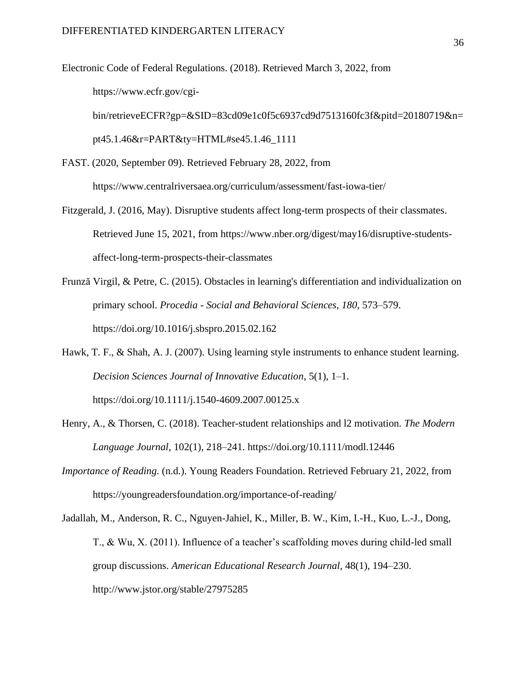Electronic Code of Federal Regulations. (2018). Retrieved March 3, 2022, from https://www.ecfr.gov/cgibin/retrieveECFR?gp=&SID=83cd09e1c0f5c6937cd9d7513160fc3f&pitd=20180719&n= pt45.1.46&r=PART&ty=HTML#se45.1.46\_1111

FAST. (2020, September 09). Retrieved February 28, 2022, from

https://www.centralriversaea.org/curriculum/assessment/fast-iowa-tier/

- Fitzgerald, J. (2016, May). Disruptive students affect long-term prospects of their classmates. Retrieved June 15, 2021, from https://www.nber.org/digest/may16/disruptive-studentsaffect-long-term-prospects-their-classmates
- Frunză Virgil, & Petre, C. (2015). Obstacles in learning's differentiation and individualization on primary school. *Procedia - Social and Behavioral Sciences*, *180*, 573–579. https://doi.org/10.1016/j.sbspro.2015.02.162
- Hawk, T. F., & Shah, A. J. (2007). Using learning style instruments to enhance student learning. *Decision Sciences Journal of Innovative Education*, 5(1), 1–1. https://doi.org/10.1111/j.1540-4609.2007.00125.x
- Henry, A., & Thorsen, C. (2018). Teacher-student relationships and l2 motivation. *The Modern Language Journal*, 102(1), 218–241. https://doi.org/10.1111/modl.12446
- *Importance of Reading*. (n.d.). Young Readers Foundation. Retrieved February 21, 2022, from https://youngreadersfoundation.org/importance-of-reading/

Jadallah, M., Anderson, R. C., Nguyen-Jahiel, K., Miller, B. W., Kim, I.-H., Kuo, L.-J., Dong, T., & Wu, X. (2011). Influence of a teacher's scaffolding moves during child-led small group discussions. *American Educational Research Journal,* 48(1), 194–230. http://www.jstor.org/stable/27975285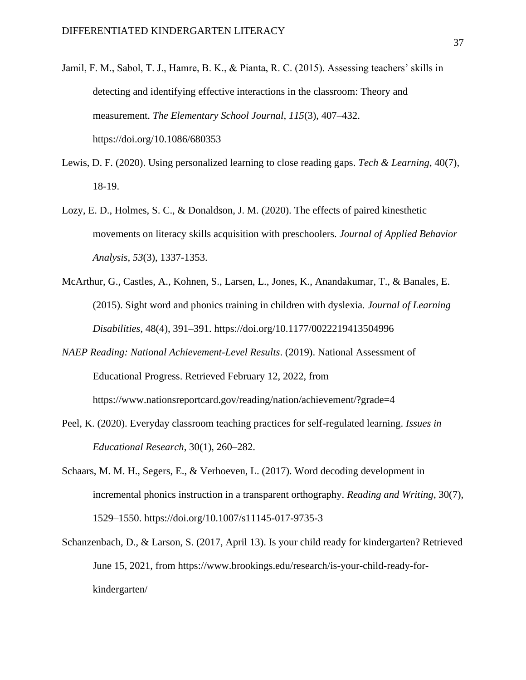- Jamil, F. M., Sabol, T. J., Hamre, B. K., & Pianta, R. C. (2015). Assessing teachers' skills in detecting and identifying effective interactions in the classroom: Theory and measurement. *The Elementary School Journal*, *115*(3), 407–432. https://doi.org/10.1086/680353
- Lewis, D. F. (2020). Using personalized learning to close reading gaps. *Tech & Learning*, 40(7), 18-19.
- Lozy, E. D., Holmes, S. C., & Donaldson, J. M. (2020). The effects of paired kinesthetic movements on literacy skills acquisition with preschoolers. *Journal of Applied Behavior Analysis*, *53*(3), 1337-1353.
- McArthur, G., Castles, A., Kohnen, S., Larsen, L., Jones, K., Anandakumar, T., & Banales, E. (2015). Sight word and phonics training in children with dyslexia*. Journal of Learning Disabilities*, 48(4), 391–391. https://doi.org/10.1177/0022219413504996
- *NAEP Reading: National Achievement-Level Results*. (2019). National Assessment of Educational Progress. Retrieved February 12, 2022, from https://www.nationsreportcard.gov/reading/nation/achievement/?grade=4
- Peel, K. (2020). Everyday classroom teaching practices for self-regulated learning. *Issues in Educational Research*, 30(1), 260–282.
- Schaars, M. M. H., Segers, E., & Verhoeven, L. (2017). Word decoding development in incremental phonics instruction in a transparent orthography. *Reading and Writing*, 30(7), 1529–1550. https://doi.org/10.1007/s11145-017-9735-3
- Schanzenbach, D., & Larson, S. (2017, April 13). Is your child ready for kindergarten? Retrieved June 15, 2021, from https://www.brookings.edu/research/is-your-child-ready-forkindergarten/